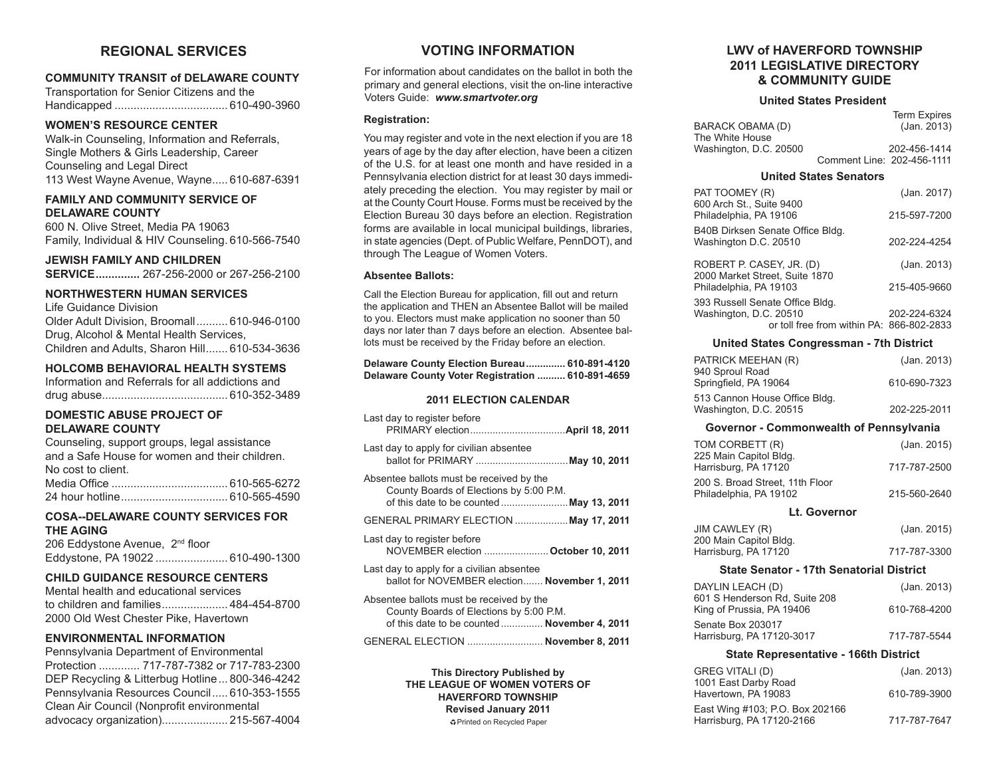# **REGIONAL SERVICES**

## **COMMUNITY TRANSIT of DELAWARE COUNTY**

Transportation for Senior Citizens and the Handicapped .................................... 610-490-3960

## **WOMEN'S RESOURCE CENTER**

Walk-in Counseling, Information and Referrals, Single Mothers & Girls Leadership, Career Counseling and Legal Direct 113 West Wayne Avenue, Wayne..... 610-687-6391

## **FAMILY AND COMMUNITY SERVICE OF DELAWARE COUNTY**

600 N. Olive Street, Media PA 19063 Family, Individual & HIV Counseling. 610-566-7540

**JEWISH FAMILY AND CHILDREN SERVICE..............** 267-256-2000 or 267-256-2100

## **NORTHWESTERN HUMAN SERVICES**

Life Guidance Division Older Adult Division, Broomall.......... 610-946-0100 Drug, Alcohol & Mental Health Services, Children and Adults, Sharon Hill....... 610-534-3636

## **HOLCOMB BEHAVIORAL HEALTH SYSTEMS**

| Information and Referrals for all addictions and |  |  |  |  |  |
|--------------------------------------------------|--|--|--|--|--|
|                                                  |  |  |  |  |  |

## **DOMESTIC ABUSE PROJECT OF DELAWARE COUNTY**

| Counseling, support groups, legal assistance   |
|------------------------------------------------|
| and a Safe House for women and their children. |
| No cost to client.                             |
|                                                |
|                                                |

## **COSA--DELAWARE COUNTY SERVICES FOR THE AGING**

206 Eddystone Avenue, 2<sup>nd</sup> floor Eddystone, PA 19022 ....................... 610-490-1300

## **CHILD GUIDANCE RESOURCE CENTERS**

Mental health and educational services to children and families..................... 484-454-8700 2000 Old West Chester Pike, Havertown

## **ENVIRONMENTAL INFORMATION**

Pennsylvania Department of Environmental Protection ............. 717-787-7382 or 717-783-2300 DEP Recycling & Litterbug Hotline... 800-346-4242 Pennsylvania Resources Council..... 610-353-1555 Clean Air Council (Nonprofit environmental advocacy organization)..................... 215-567-4004

# **VOTING INFORMATION**

For information about candidates on the ballot in both the primary and general elections, visit the on-line interactive Voters Guide: *www.smartvoter.org*

## **Registration:**

You may register and vote in the next election if you are 18 years of age by the day after election, have been a citizen of the U.S. for at least one month and have resided in a Pennsylvania election district for at least 30 days immediately preceding the election. You may register by mail or at the County Court House. Forms must be received by the Election Bureau 30 days before an election. Registration forms are available in local municipal buildings, libraries, in state agencies (Dept. of Public Welfare, PennDOT), and through The League of Women Voters.

## **Absentee Ballots:**

Call the Election Bureau for application, fill out and return the application and THEN an Absentee Ballot will be mailed to you. Electors must make application no sooner than 50 days nor later than 7 days before an election. Absentee ballots must be received by the Friday before an election.

| Delaware County Election Bureau 610-891-4120     |  |
|--------------------------------------------------|--|
| Delaware County Voter Registration  610-891-4659 |  |

## **2011 ELECTION CALENDAR**

| Last day to register before                                                                                                         |  |
|-------------------------------------------------------------------------------------------------------------------------------------|--|
| Last day to apply for civilian absentee<br>ballot for PRIMARY  May 10, 2011                                                         |  |
| Absentee ballots must be received by the<br>County Boards of Elections by 5:00 P.M.                                                 |  |
| GENERAL PRIMARY ELECTION  May 17, 2011                                                                                              |  |
| Last day to register before<br>NOVEMBER election  October 10, 2011                                                                  |  |
| Last day to apply for a civilian absentee<br>ballot for NOVEMBER election November 1, 2011                                          |  |
| Absentee ballots must be received by the<br>County Boards of Elections by 5:00 P.M.<br>of this date to be counted  November 4, 2011 |  |
| GENERAL ELECTION  November 8, 2011                                                                                                  |  |

**This Directory Published by THE LEAGUE OF WOMEN VOTERS OF HAVERFORD TOWNSHIP Revised January 2011** ÁPrinted on Recycled Paper

## **LWV of HAVERFORD TOWNSHIP 2011 LEGISLATIVE DIRECTORY & COMMUNITY GUIDE**

## **United States President**

|                        | <b>Term Expires</b>        |
|------------------------|----------------------------|
| BARACK OBAMA (D)       | (Jan. 2013)                |
| The White House        |                            |
| Washington, D.C. 20500 | 202-456-1414               |
|                        | Comment Line: 202-456-1111 |

## **United States Senators**

| PAT TOOMEY (R)<br>600 Arch St., Suite 9400                                                             | (Jan. 2017)  |
|--------------------------------------------------------------------------------------------------------|--------------|
| Philadelphia, PA 19106                                                                                 | 215-597-7200 |
| B40B Dirksen Senate Office Bldg.<br>Washington D.C. 20510                                              | 202-224-4254 |
| ROBERT P. CASEY, JR. (D)<br>2000 Market Street, Suite 1870                                             | (Jan. 2013)  |
| Philadelphia, PA 19103                                                                                 | 215-405-9660 |
| 393 Russell Senate Office Bldg.<br>Washington, D.C. 20510<br>or toll free from within PA: 866-802-2833 | 202-224-6324 |

## **United States Congressman - 7th District**

| PATRICK MEEHAN (R)            | (Jan. 2013)  |
|-------------------------------|--------------|
| 940 Sproul Road               |              |
| Springfield, PA 19064         | 610-690-7323 |
| 513 Cannon House Office Bldg. |              |
| Washington, D.C. 20515        | 202-225-2011 |

## **Governor - Commonwealth of Pennsylvania**

| TOM CORBETT (R)<br>225 Main Capitol Bldg.                 | (Jan. 2015)  |
|-----------------------------------------------------------|--------------|
| Harrisburg, PA 17120                                      | 717-787-2500 |
| 200 S. Broad Street. 11th Floor<br>Philadelphia, PA 19102 | 215-560-2640 |

#### **Lt. Governor**

| JIM CAWLEY (R)         | (Jan. 2015)  |
|------------------------|--------------|
| 200 Main Capitol Bldg. |              |
| Harrisburg, PA 17120   | 717-787-3300 |

## **State Senator - 17th Senatorial District**

| DAYLIN LEACH (D)<br>601 S Henderson Rd, Suite 208 | (Jan. 2013)  |
|---------------------------------------------------|--------------|
| King of Prussia, PA 19406                         | 610-768-4200 |
| Senate Box 203017                                 | 717-787-5544 |
| Harrisburg, PA 17120-3017                         |              |

## **State Representative - 166th District**

| GREG VITALI (D)<br>1001 East Darby Road                      | (Jan. 2013)  |
|--------------------------------------------------------------|--------------|
| Havertown, PA 19083                                          | 610-789-3900 |
| East Wing #103; P.O. Box 202166<br>Harrisburg, PA 17120-2166 | 717-787-7647 |